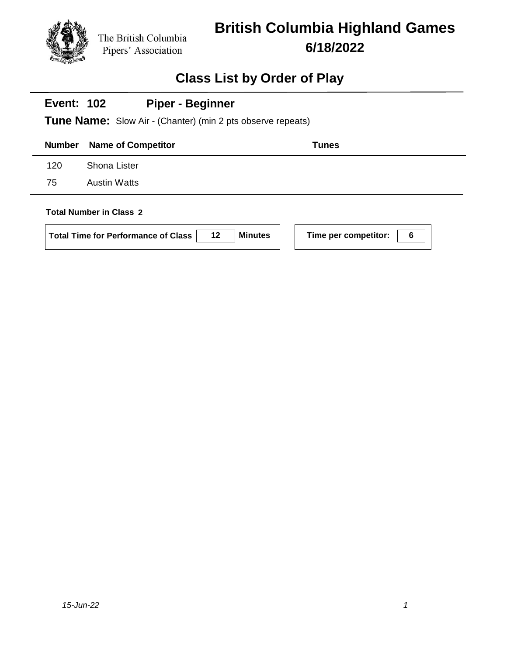

| <b>Piper - Beginner</b><br><b>Event: 102</b><br><b>Tune Name:</b> Slow Air - (Chanter) (min 2 pts observe repeats) |                                                                                                           |                           |  |  |
|--------------------------------------------------------------------------------------------------------------------|-----------------------------------------------------------------------------------------------------------|---------------------------|--|--|
| <b>Number</b>                                                                                                      | <b>Name of Competitor</b>                                                                                 | Tunes                     |  |  |
| 120                                                                                                                | <b>Shona Lister</b>                                                                                       |                           |  |  |
| 75                                                                                                                 | <b>Austin Watts</b>                                                                                       |                           |  |  |
|                                                                                                                    | <b>Total Number in Class 2</b><br>$12 \,$<br><b>Minutes</b><br><b>Total Time for Performance of Class</b> | Time per competitor:<br>6 |  |  |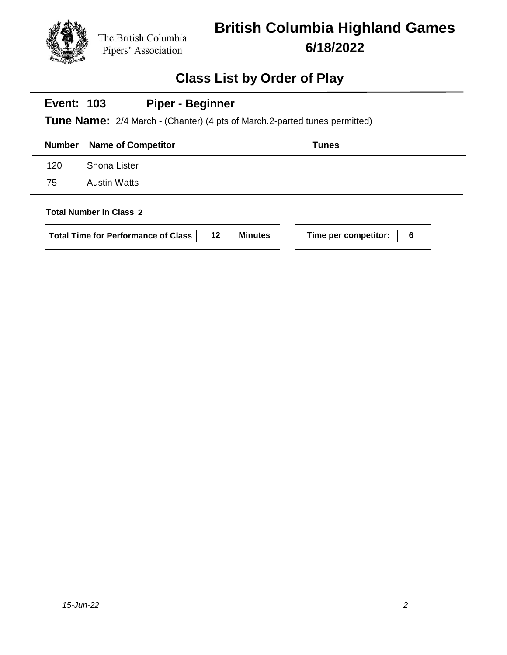

# **British Columbia Highland Games 6/18/2022**

## **Class List by Order of Play**

#### **Event: 103 Piper - Beginner**

**Tune Name:** 2/4 March - (Chanter) (4 pts of March.2-parted tunes permitted)

|     | <b>Number</b> Name of Competitor | <b>Tunes</b> |
|-----|----------------------------------|--------------|
| 120 | Shona Lister                     |              |
| 75  | Austin Watts                     |              |
|     |                                  |              |

#### **Total Number in Class 2**

| Total Time for Performance of Class | 12 | <b>Minutes</b> |
|-------------------------------------|----|----------------|
|                                     |    |                |

**Time per competitor: 6**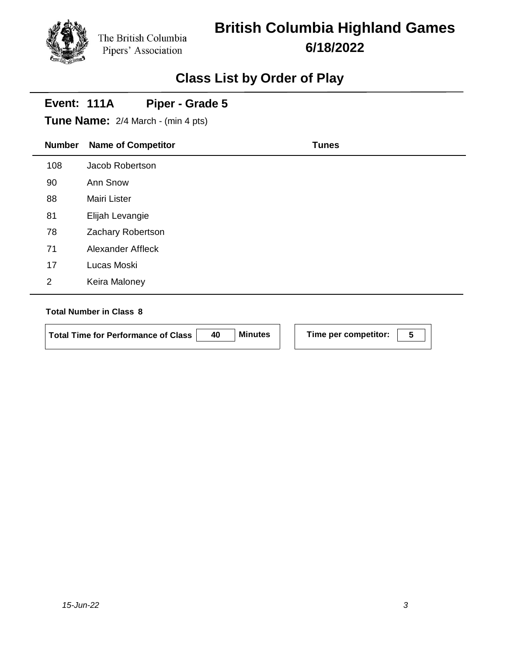# **British Columbia Highland Games 6/18/2022**

## **Class List by Order of Play**

## **Number Name of Competitor Tunes Event: 111A Tune Name:** 2/4 March - (min 4 pts) **Piper - Grade 5** 108 Jacob Robertson 90 Ann Snow 88 Mairi Lister 81 Elijah Levangie 78 Zachary Robertson 71 Alexander Affleck 17 Lucas Moski 2 Keira Maloney

#### **Total Number in Class 8**

**Total Time for Performance of Class 40 Minutes Time per competitor: 5**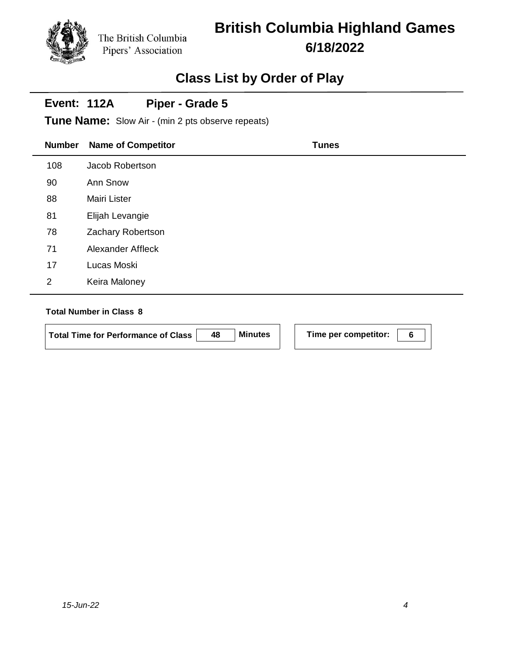# **British Columbia Highland Games 6/18/2022**

### **Class List by Order of Play**

#### **Event: 112A Piper - Grade 5**

**Tune Name:** Slow Air - (min 2 pts observe repeats)

| <b>Number</b>  | <b>Name of Competitor</b> | <b>Tunes</b> |
|----------------|---------------------------|--------------|
| 108            | Jacob Robertson           |              |
| 90             | Ann Snow                  |              |
| 88             | <b>Mairi Lister</b>       |              |
| 81             | Elijah Levangie           |              |
| 78             | Zachary Robertson         |              |
| 71             | Alexander Affleck         |              |
| 17             | Lucas Moski               |              |
| $\overline{2}$ | Keira Maloney             |              |

#### **Total Number in Class 8**

**Total Time for Performance of Class 48 Minutes Time per competitor: 6**

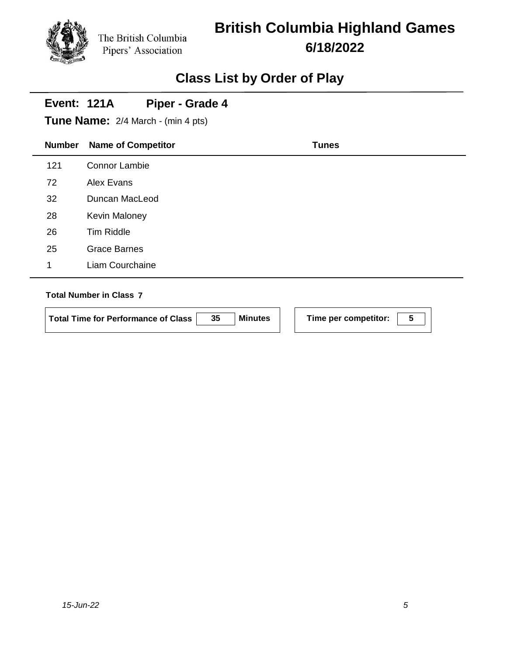# **British Columbia Highland Games 6/18/2022**

### **Class List by Order of Play**

#### **Event: 121A Piper - Grade 4**

**Tune Name:** 2/4 March - (min 4 pts)

| <b>Number</b> | <b>Name of Competitor</b> | <b>Tunes</b> |
|---------------|---------------------------|--------------|
| 121           | <b>Connor Lambie</b>      |              |
| 72            | Alex Evans                |              |
| 32            | Duncan MacLeod            |              |
| 28            | <b>Kevin Maloney</b>      |              |
| 26            | Tim Riddle                |              |
| 25            | <b>Grace Barnes</b>       |              |
| 1             | Liam Courchaine           |              |
|               |                           |              |

#### **Total Number in Class 7**

 $\overline{\phantom{a}}$ 

| Total Time for Performance of Class | 35 | <b>Minutes</b> |  |
|-------------------------------------|----|----------------|--|
|                                     |    |                |  |

**Time per competitor: 5**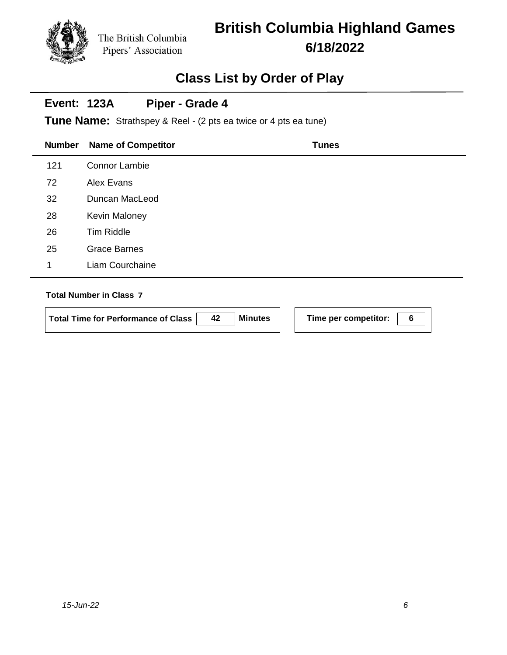# **British Columbia Highland Games 6/18/2022**

### **Class List by Order of Play**

#### **Event: 123A Piper - Grade 4**

**Tune Name:** Strathspey & Reel - (2 pts ea twice or 4 pts ea tune)

| <b>Number</b> | <b>Name of Competitor</b> | <b>Tunes</b> |
|---------------|---------------------------|--------------|
| 121           | Connor Lambie             |              |
| 72            | Alex Evans                |              |
| 32            | Duncan MacLeod            |              |
| 28            | <b>Kevin Maloney</b>      |              |
| 26            | Tim Riddle                |              |
| 25            | <b>Grace Barnes</b>       |              |
| 1             | Liam Courchaine           |              |
|               |                           |              |

#### **Total Number in Class 7**

| <b>Total Time for Performance of Class</b> | 42 | <b>Minutes</b> |  |
|--------------------------------------------|----|----------------|--|
|                                            |    |                |  |

**Time per competitor:** 6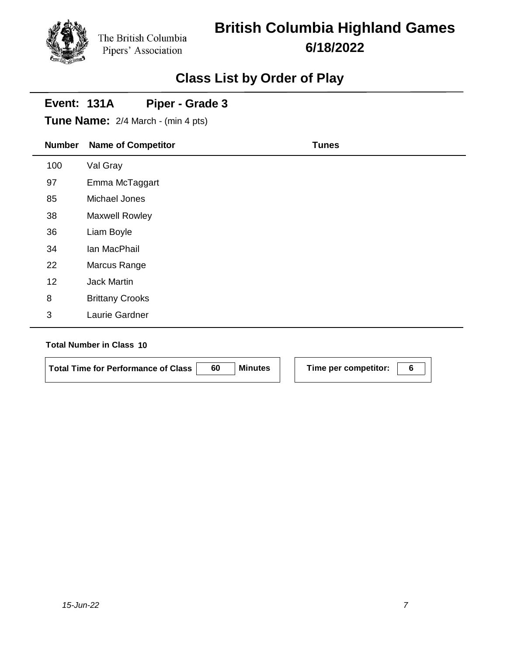## **British Columbia Highland Games 6/18/2022**

### **Class List by Order of Play**

## **Number Name of Competitor Tunes Event: 131A Tune Name:** 2/4 March - (min 4 pts) **Piper - Grade 3** 100 Val Gray 97 Emma McTaggart 85 Michael Jones 38 Maxwell Rowley 36 Liam Boyle 34 Ian MacPhail 22 Marcus Range 12 Jack Martin 8 Brittany Crooks 3 Laurie Gardner **Total Number in Class 10**

|                                     | <b>Minutes</b> |                      |  |
|-------------------------------------|----------------|----------------------|--|
| Total Time for Performance of Class |                | Time per competitor: |  |
|                                     |                |                      |  |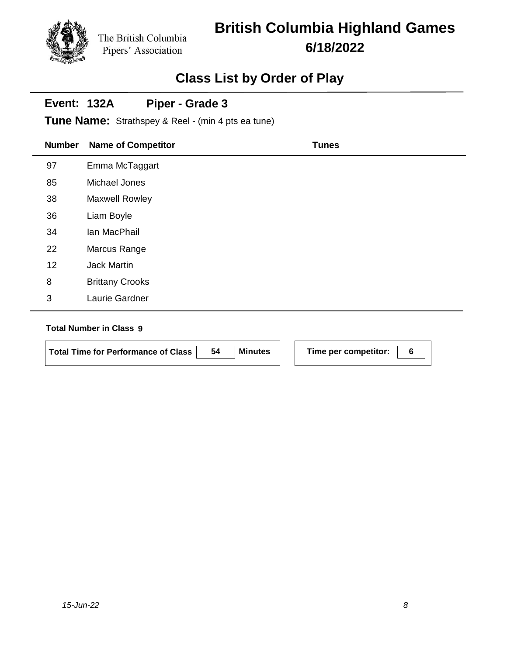# **British Columbia Highland Games 6/18/2022**

### **Class List by Order of Play**

#### **Event: 132A Piper - Grade 3**

**Tune Name:** Strathspey & Reel - (min 4 pts ea tune)

| <b>Number</b> | <b>Name of Competitor</b> | <b>Tunes</b> |
|---------------|---------------------------|--------------|
| 97            | Emma McTaggart            |              |
| 85            | Michael Jones             |              |
| 38            | <b>Maxwell Rowley</b>     |              |
| 36            | Liam Boyle                |              |
| 34            | lan MacPhail              |              |
| 22            | Marcus Range              |              |
| 12            | <b>Jack Martin</b>        |              |
| 8             | <b>Brittany Crooks</b>    |              |
| 3             | Laurie Gardner            |              |

#### **Total Number in Class 9**

| Total Time for Performance of Class | 54 | <b>Minutes</b> |  |
|-------------------------------------|----|----------------|--|
|                                     |    |                |  |

**Time per competitor: 6**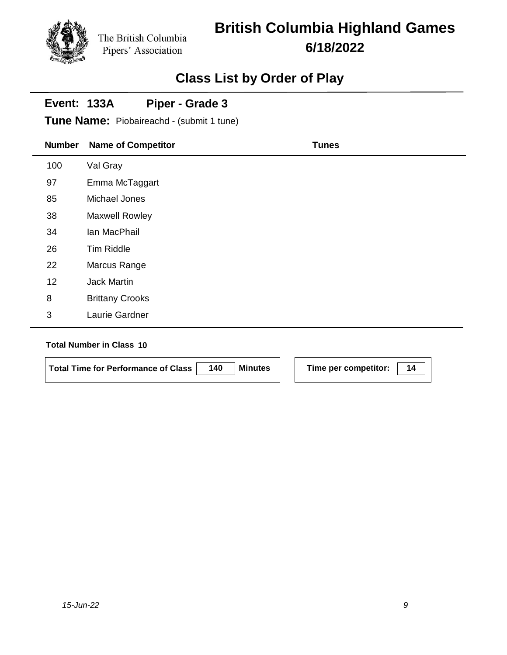# **British Columbia Highland Games 6/18/2022**

### **Class List by Order of Play**

#### **Event: 133A Piper - Grade 3**

**Tune Name:** Piobaireachd - (submit 1 tune)

| <b>Number</b>  | <b>Name of Competitor</b> | <b>Tunes</b> |
|----------------|---------------------------|--------------|
| 100            | Val Gray                  |              |
| 97             | Emma McTaggart            |              |
| 85             | Michael Jones             |              |
| 38             | Maxwell Rowley            |              |
| 34             | lan MacPhail              |              |
| 26             | Tim Riddle                |              |
| 22             | Marcus Range              |              |
| 12             | <b>Jack Martin</b>        |              |
| 8              | <b>Brittany Crooks</b>    |              |
| $\mathfrak{B}$ | Laurie Gardner            |              |
|                |                           |              |

#### **Total Number in Class 10**

l,

| Total Time for Performance of Class | 140 | <b>Minutes</b> | Time per competitor: |  |
|-------------------------------------|-----|----------------|----------------------|--|
|                                     |     |                |                      |  |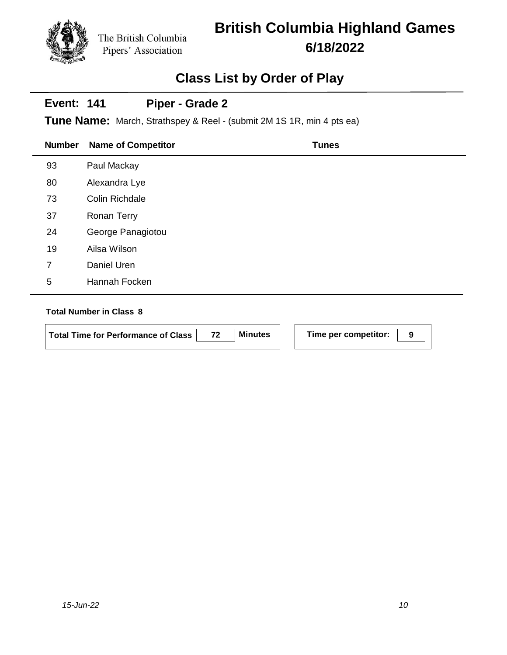# **British Columbia Highland Games 6/18/2022**

### **Class List by Order of Play**

#### **Event: 141 Piper - Grade 2**

**Tune Name:** March, Strathspey & Reel - (submit 2M 1S 1R, min 4 pts ea)

| <b>Number</b> | <b>Name of Competitor</b> | <b>Tunes</b> |
|---------------|---------------------------|--------------|
| 93            | Paul Mackay               |              |
| 80            | Alexandra Lye             |              |
| 73            | Colin Richdale            |              |
| 37            | <b>Ronan Terry</b>        |              |
| 24            | George Panagiotou         |              |
| 19            | Ailsa Wilson              |              |
| 7             | Daniel Uren               |              |
| 5             | Hannah Focken             |              |

#### **Total Number in Class 8**

**Total Time for Performance of Class 72 Minutes Time per competitor: 9**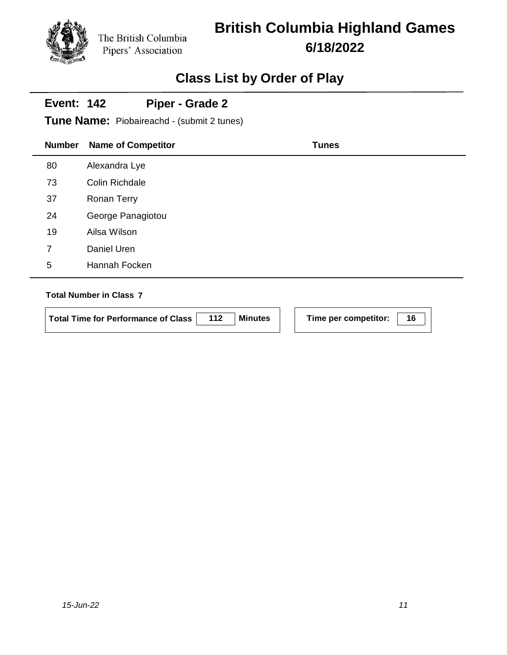# **British Columbia Highland Games 6/18/2022**

## **Class List by Order of Play**

#### **Event: 142 Piper - Grade 2**

**Tune Name:** Piobaireachd - (submit 2 tunes)

| <b>Number</b> | <b>Name of Competitor</b> | <b>Tunes</b> |
|---------------|---------------------------|--------------|
| 80            | Alexandra Lye             |              |
| 73            | Colin Richdale            |              |
| 37            | Ronan Terry               |              |
| 24            | George Panagiotou         |              |
| 19            | Ailsa Wilson              |              |
| 7             | Daniel Uren               |              |
| 5             | Hannah Focken             |              |
|               |                           |              |

#### **Total Number in Class 7**

| Total Time for Performance of Class   112   Minutes |  |
|-----------------------------------------------------|--|
|                                                     |  |

**Time per competitor:** 16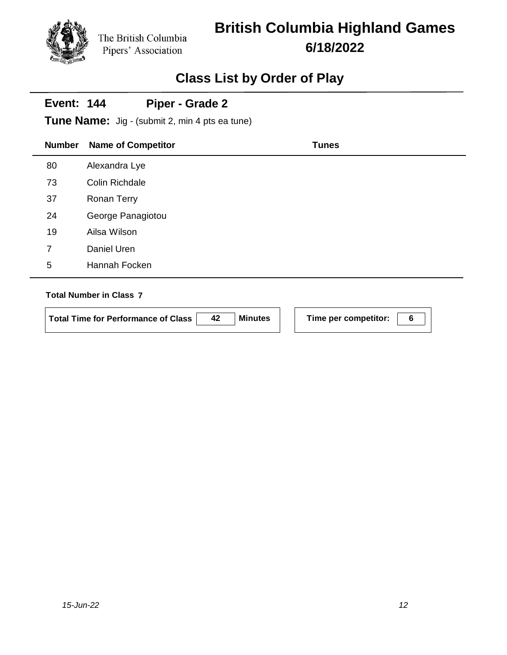# **British Columbia Highland Games 6/18/2022**

### **Class List by Order of Play**

#### **Event: 144 Piper - Grade 2**

**Tune Name:** Jig - (submit 2, min 4 pts ea tune)

| <b>Number</b> | <b>Name of Competitor</b> | <b>Tunes</b> |
|---------------|---------------------------|--------------|
| 80            | Alexandra Lye             |              |
| 73            | <b>Colin Richdale</b>     |              |
| 37            | <b>Ronan Terry</b>        |              |
| 24            | George Panagiotou         |              |
| 19            | Ailsa Wilson              |              |
| 7             | Daniel Uren               |              |
| 5             | Hannah Focken             |              |
|               |                           |              |

#### **Total Number in Class 7**

 $\overline{a}$ 

**Total Time for Performance of Class 42 Minutes Time per competitor: 6**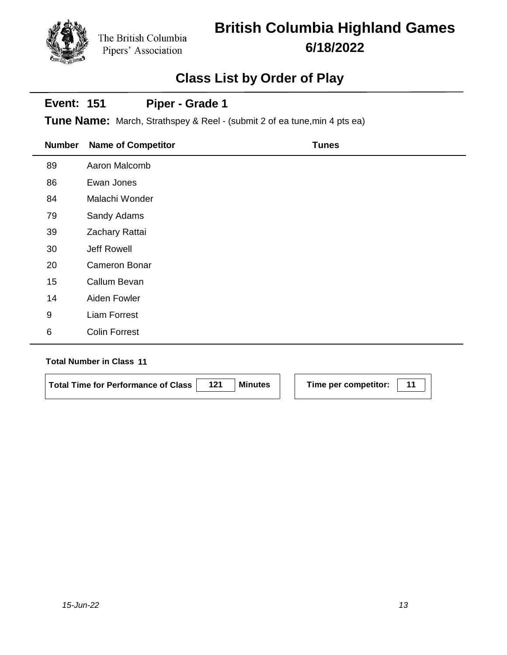# **British Columbia Highland Games 6/18/2022**

### **Class List by Order of Play**

#### **Event: 151 Piper - Grade 1**

**Tune Name:** March, Strathspey & Reel - (submit 2 of ea tune,min 4 pts ea)

| <b>Number</b> | <b>Name of Competitor</b> | <b>Tunes</b> |
|---------------|---------------------------|--------------|
| 89            | Aaron Malcomb             |              |
| 86            | Ewan Jones                |              |
| 84            | Malachi Wonder            |              |
| 79            | Sandy Adams               |              |
| 39            | Zachary Rattai            |              |
| 30            | Jeff Rowell               |              |
| 20            | <b>Cameron Bonar</b>      |              |
| 15            | Callum Bevan              |              |
| 14            | Aiden Fowler              |              |
| 9             | <b>Liam Forrest</b>       |              |
| $\,6$         | <b>Colin Forrest</b>      |              |

| Total Time for Performance of Class | 121 | <b>Minutes</b> | Time per competitor: |  |
|-------------------------------------|-----|----------------|----------------------|--|
|                                     |     |                |                      |  |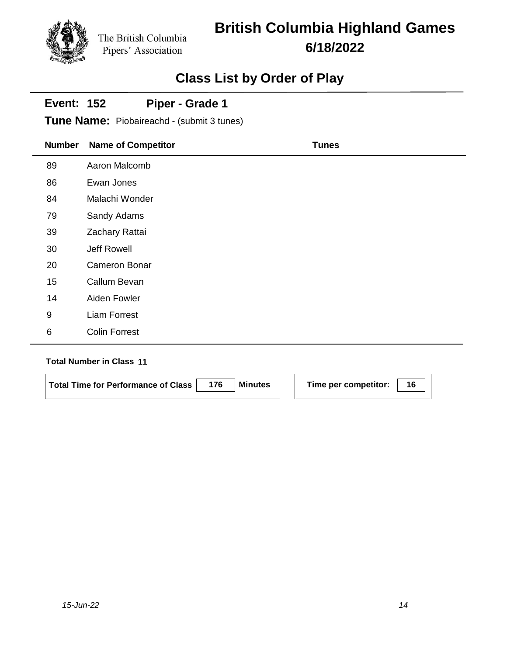# **British Columbia Highland Games 6/18/2022**

## **Class List by Order of Play**

#### **Event: 152 Piper - Grade 1**

**Tune Name:** Piobaireachd - (submit 3 tunes)

| <b>Number</b>    | <b>Name of Competitor</b> | <b>Tunes</b> |
|------------------|---------------------------|--------------|
| 89               | Aaron Malcomb             |              |
| 86               | Ewan Jones                |              |
| 84               | Malachi Wonder            |              |
| 79               | Sandy Adams               |              |
| 39               | Zachary Rattai            |              |
| 30               | Jeff Rowell               |              |
| 20               | Cameron Bonar             |              |
| 15               | Callum Bevan              |              |
| 14               | Aiden Fowler              |              |
| $\boldsymbol{9}$ | <b>Liam Forrest</b>       |              |
| 6                | <b>Colin Forrest</b>      |              |

| <b>Total Time for Performance of Class</b> | <b>Minutes</b> | Time per competitor: |  |
|--------------------------------------------|----------------|----------------------|--|
|                                            |                |                      |  |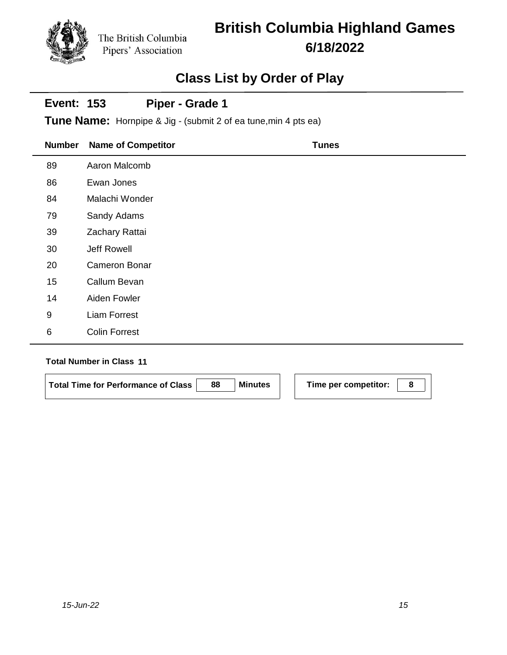# **British Columbia Highland Games 6/18/2022**

### **Class List by Order of Play**

#### **Event: 153 Piper - Grade 1**

**Tune Name:** Hornpipe & Jig - (submit 2 of ea tune,min 4 pts ea)

| <b>Number</b> | <b>Name of Competitor</b> | <b>Tunes</b> |
|---------------|---------------------------|--------------|
| 89            | Aaron Malcomb             |              |
| 86            | Ewan Jones                |              |
| 84            | Malachi Wonder            |              |
| 79            | Sandy Adams               |              |
| 39            | Zachary Rattai            |              |
| 30            | Jeff Rowell               |              |
| 20            | <b>Cameron Bonar</b>      |              |
| 15            | Callum Bevan              |              |
| 14            | Aiden Fowler              |              |
| 9             | <b>Liam Forrest</b>       |              |
| 6             | <b>Colin Forrest</b>      |              |

| <b>Total Time for Performance of Class</b> | 88 | <b>Minutes</b> | Time per competitor: |  |
|--------------------------------------------|----|----------------|----------------------|--|
|                                            |    |                |                      |  |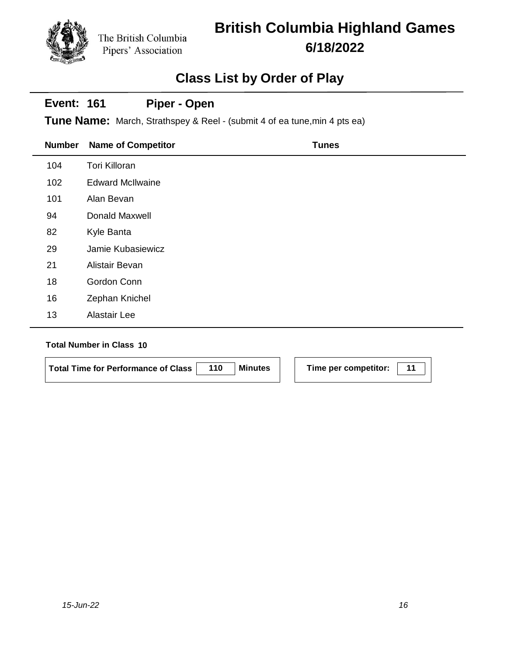# **British Columbia Highland Games 6/18/2022**

### **Class List by Order of Play**

### **Number Name of Competitor Tunes Event: 161 Tune Name:** March, Strathspey & Reel - (submit 4 of ea tune,min 4 pts ea) **Piper - Open** 104 Tori Killoran 102 Edward McIlwaine 101 Alan Bevan 94 Donald Maxwell 82 Kyle Banta 29 Jamie Kubasiewicz 21 Alistair Bevan 18 Gordon Conn 16 Zephan Knichel 13 Alastair Lee

| Total Time for Performance of Class | 110 | <b>Minutes</b> | Time per competitor: |  |
|-------------------------------------|-----|----------------|----------------------|--|
|                                     |     |                |                      |  |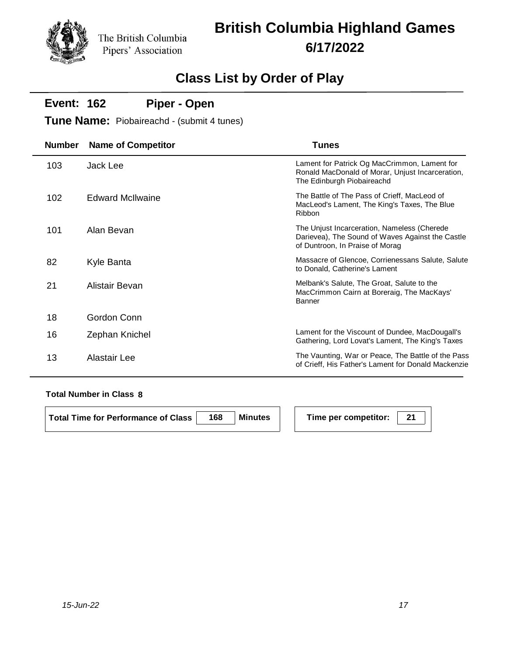# **British Columbia Highland Games 6/17/2022**

### **Class List by Order of Play**

#### **Event: 162 Piper - Open**

**Tune Name:** Piobaireachd - (submit 4 tunes)

| <b>Number</b> | <b>Name of Competitor</b> | <b>Tunes</b>                                                                                                                       |
|---------------|---------------------------|------------------------------------------------------------------------------------------------------------------------------------|
| 103           | Jack Lee                  | Lament for Patrick Og MacCrimmon, Lament for<br>Ronald MacDonald of Morar, Unjust Incarceration,<br>The Edinburgh Piobaireachd     |
| 102           | <b>Edward McIlwaine</b>   | The Battle of The Pass of Crieff, MacLeod of<br>MacLeod's Lament, The King's Taxes, The Blue<br>Ribbon                             |
| 101           | Alan Bevan                | The Unjust Incarceration, Nameless (Cherede<br>Darievea), The Sound of Waves Against the Castle<br>of Duntroon, In Praise of Morag |
| 82            | Kyle Banta                | Massacre of Glencoe, Corrienessans Salute, Salute<br>to Donald, Catherine's Lament                                                 |
| 21            | Alistair Bevan            | Melbank's Salute, The Groat, Salute to the<br>MacCrimmon Cairn at Boreraig, The MacKays'<br>Banner                                 |
| 18            | Gordon Conn               |                                                                                                                                    |
| 16            | Zephan Knichel            | Lament for the Viscount of Dundee, MacDougall's<br>Gathering, Lord Lovat's Lament, The King's Taxes                                |
| 13            | Alastair Lee              | The Vaunting, War or Peace, The Battle of the Pass<br>of Crieff, His Father's Lament for Donald Mackenzie                          |

#### **Total Number in Class 8**

**Total Time for Performance of Class 168 Minutes Time per competitor: 21**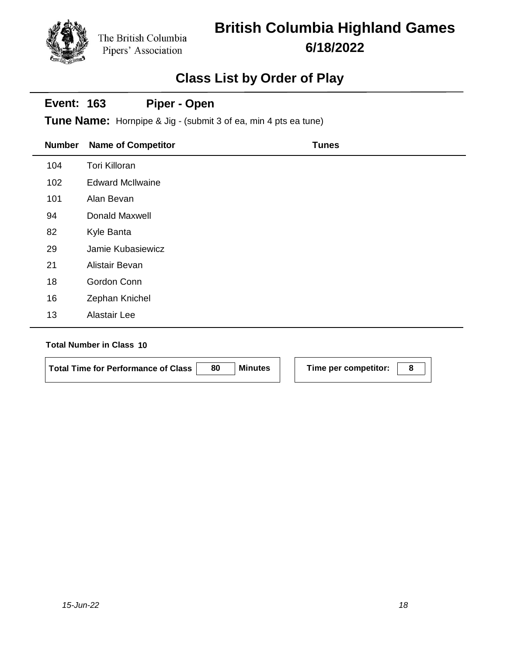# **British Columbia Highland Games 6/18/2022**

### **Class List by Order of Play**

#### **Event: 163 Piper - Open**

**Tune Name:** Hornpipe & Jig - (submit 3 of ea, min 4 pts ea tune)

| <b>Number</b> | <b>Name of Competitor</b> | <b>Tunes</b> |
|---------------|---------------------------|--------------|
| 104           | <b>Tori Killoran</b>      |              |
| 102           | <b>Edward McIlwaine</b>   |              |
| 101           | Alan Bevan                |              |
| 94            | Donald Maxwell            |              |
| 82            | Kyle Banta                |              |
| 29            | Jamie Kubasiewicz         |              |
| 21            | Alistair Bevan            |              |
| 18            | Gordon Conn               |              |
| 16            | Zephan Knichel            |              |
| 13            | Alastair Lee              |              |

| Total Time for Performance of Class | 80 | <b>Minutes</b> | Time per competitor: |  |
|-------------------------------------|----|----------------|----------------------|--|
|                                     |    |                |                      |  |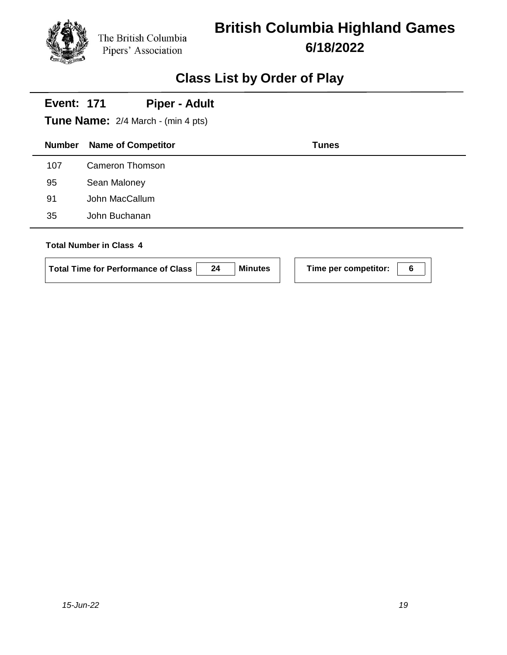

# **British Columbia Highland Games 6/18/2022**

| <b>Event: 171</b> | <b>Piper - Adult</b><br><b>Tune Name:</b> 2/4 March - (min 4 pts)                                    |                           |
|-------------------|------------------------------------------------------------------------------------------------------|---------------------------|
| <b>Number</b>     | <b>Name of Competitor</b>                                                                            | <b>Tunes</b>              |
| 107               | Cameron Thomson                                                                                      |                           |
| 95                | Sean Maloney                                                                                         |                           |
| 91                | John MacCallum                                                                                       |                           |
| 35                | John Buchanan                                                                                        |                           |
|                   | <b>Total Number in Class 4</b><br>24<br><b>Minutes</b><br><b>Total Time for Performance of Class</b> | 6<br>Time per competitor: |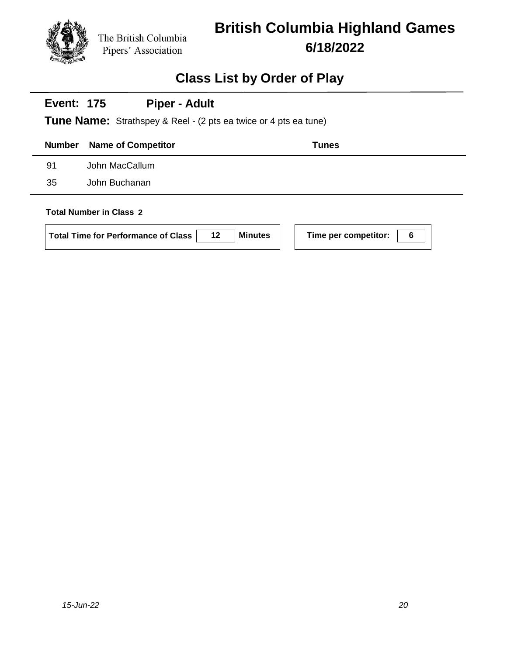

## **Class List by Order of Play**

#### **Event: 175 Piper - Adult**

**Tune Name:** Strathspey & Reel - (2 pts ea twice or 4 pts ea tune)

| <b>Number</b>           | <b>Name of Competitor</b> | <b>Tunes</b> |
|-------------------------|---------------------------|--------------|
| 91                      | John MacCallum            |              |
| 35                      | John Buchanan             |              |
| Total Number in Class 2 |                           |              |

#### **Total Number in Class 2**

| Total Time for Performance of Class | 12 | <b>Minutes</b> |
|-------------------------------------|----|----------------|
|-------------------------------------|----|----------------|

**k 1 Time per competitor: 1 6**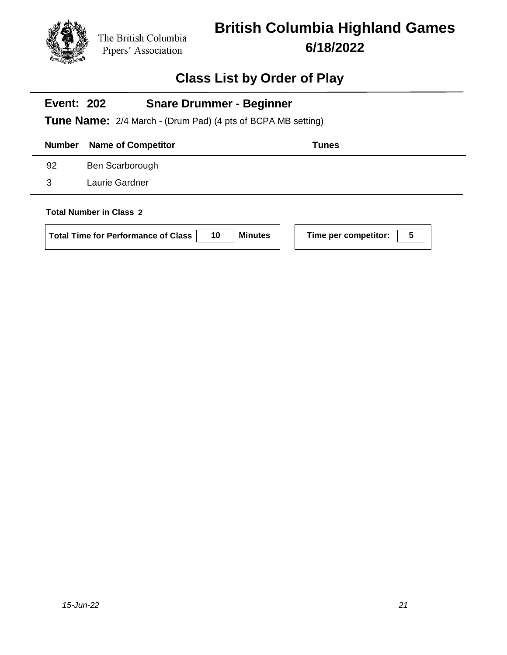

# **British Columbia Highland Games 6/18/2022**

### **Class List by Order of Play**

#### **Event: 202 Tune Name:** 2/4 March - (Drum Pad) (4 pts of BCPA MB setting) **Snare Drummer - Beginner**

|                                | <b>Number</b> Name of Competitor<br><b>Tunes</b> |                 |  |  |
|--------------------------------|--------------------------------------------------|-----------------|--|--|
|                                | 92                                               | Ben Scarborough |  |  |
|                                | 3                                                | Laurie Gardner  |  |  |
| <b>Total Number in Class 2</b> |                                                  |                 |  |  |

| Minutes |
|---------|
|         |

**5** Time per competitor:  $\boxed{5}$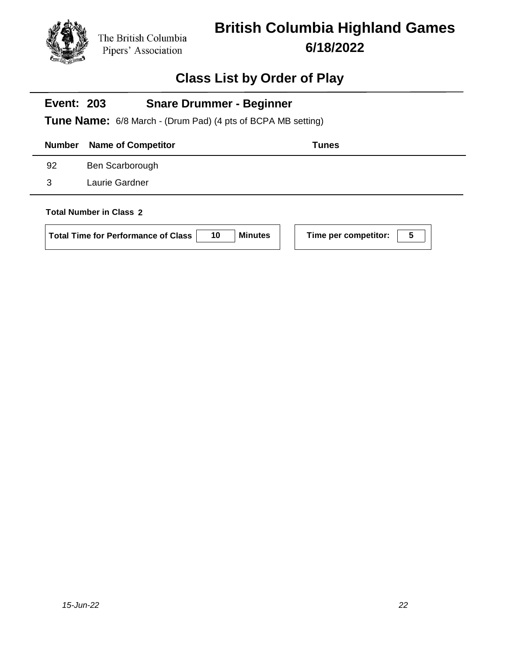

# **British Columbia Highland Games 6/18/2022**

### **Class List by Order of Play**

#### **Event: 203 Tune Name:** 6/8 March - (Drum Pad) (4 pts of BCPA MB setting) **Snare Drummer - Beginner**

|                                |    | <b>Number</b> Name of Competitor | <b>Tunes</b> |
|--------------------------------|----|----------------------------------|--------------|
|                                | 92 | Ben Scarborough                  |              |
|                                | 3  | Laurie Gardner                   |              |
| <b>Total Number in Class 2</b> |    |                                  |              |

**I** Time per competitor:  $\boxed{5}$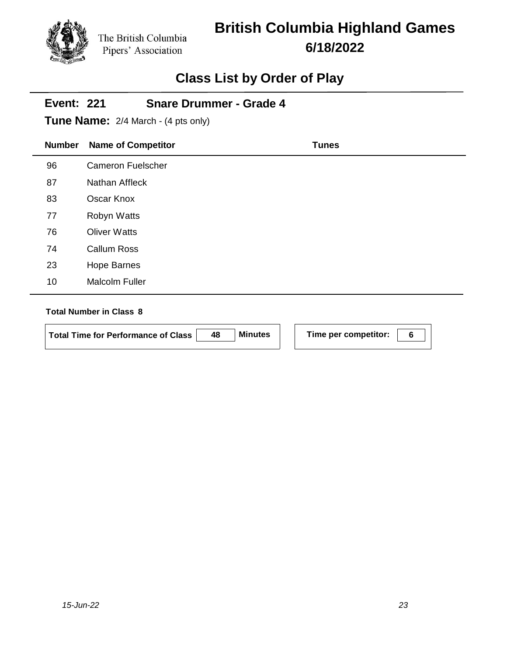# **British Columbia Highland Games 6/18/2022**

## **Class List by Order of Play**

| <b>Event: 221</b><br><b>Snare Drummer - Grade 4</b><br><b>Tune Name:</b> 2/4 March - (4 pts only) |                           |              |  |  |
|---------------------------------------------------------------------------------------------------|---------------------------|--------------|--|--|
| <b>Number</b>                                                                                     | <b>Name of Competitor</b> | <b>Tunes</b> |  |  |
| 96                                                                                                | <b>Cameron Fuelscher</b>  |              |  |  |
| 87                                                                                                | Nathan Affleck            |              |  |  |
| 83                                                                                                | Oscar Knox                |              |  |  |
| 77                                                                                                | Robyn Watts               |              |  |  |
| 76                                                                                                | <b>Oliver Watts</b>       |              |  |  |
| 74                                                                                                | <b>Callum Ross</b>        |              |  |  |
| 23                                                                                                | <b>Hope Barnes</b>        |              |  |  |
| 10                                                                                                | <b>Malcolm Fuller</b>     |              |  |  |

#### **Total Number in Class 8**

÷

**Total Time for Performance of Class 48 Minutes Time per competitor: 6**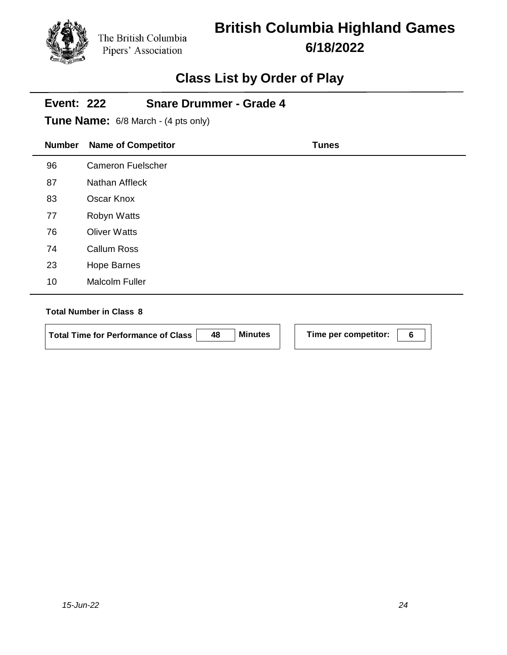# **British Columbia Highland Games 6/18/2022**

## **Class List by Order of Play**

| <b>Event: 222</b><br><b>Snare Drummer - Grade 4</b><br><b>Tune Name:</b> 6/8 March - (4 pts only) |                           |              |  |  |
|---------------------------------------------------------------------------------------------------|---------------------------|--------------|--|--|
| <b>Number</b>                                                                                     | <b>Name of Competitor</b> | <b>Tunes</b> |  |  |
| 96                                                                                                | <b>Cameron Fuelscher</b>  |              |  |  |
| 87                                                                                                | Nathan Affleck            |              |  |  |
| 83                                                                                                | Oscar Knox                |              |  |  |
| 77                                                                                                | <b>Robyn Watts</b>        |              |  |  |
| 76                                                                                                | <b>Oliver Watts</b>       |              |  |  |
| 74                                                                                                | <b>Callum Ross</b>        |              |  |  |
| 23                                                                                                | <b>Hope Barnes</b>        |              |  |  |
| 10                                                                                                | <b>Malcolm Fuller</b>     |              |  |  |

#### **Total Number in Class 8**

 $\overline{\phantom{0}}$ 

**Total Time for Performance of Class 48 Minutes Time per competitor: 6**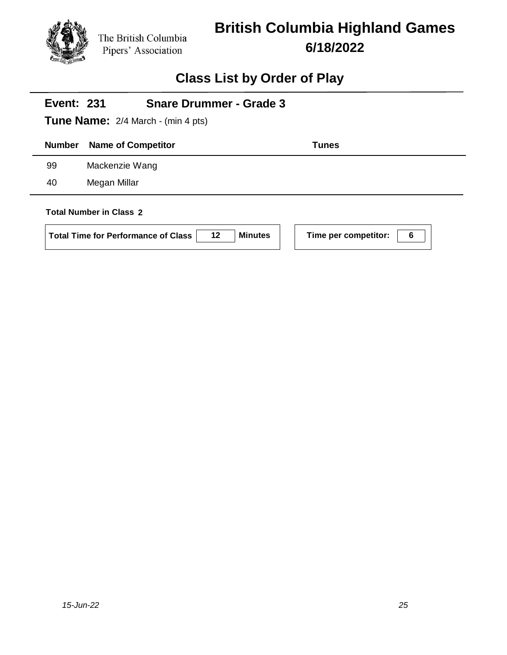

# **British Columbia Highland Games 6/18/2022**

# **Class List by Order of Play**

| <b>Snare Drummer - Grade 3</b><br><b>Event: 231</b> |                                                  |                |                           |  |
|-----------------------------------------------------|--------------------------------------------------|----------------|---------------------------|--|
| <b>Tune Name:</b> 2/4 March - (min 4 pts)           |                                                  |                |                           |  |
| <b>Number</b>                                       | <b>Name of Competitor</b>                        |                | <b>Tunes</b>              |  |
| 99                                                  | Mackenzie Wang                                   |                |                           |  |
| 40                                                  | Megan Millar                                     |                |                           |  |
|                                                     | <b>Total Number in Class 2</b>                   |                |                           |  |
|                                                     | 12<br><b>Total Time for Performance of Class</b> | <b>Minutes</b> | Time per competitor:<br>6 |  |

 $\Box$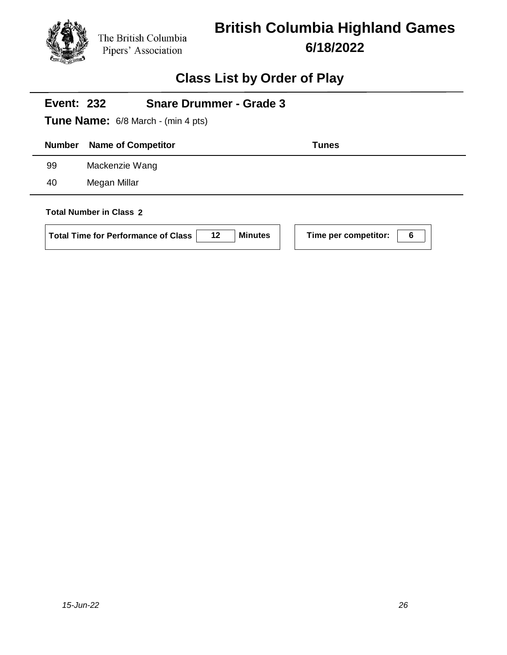

# **British Columbia Highland Games 6/18/2022**

| <b>Event: 232</b>                         | <b>Snare Drummer - Grade 3</b>                                          |                           |  |  |
|-------------------------------------------|-------------------------------------------------------------------------|---------------------------|--|--|
| <b>Tune Name:</b> 6/8 March - (min 4 pts) |                                                                         |                           |  |  |
| <b>Number</b>                             | <b>Name of Competitor</b>                                               | <b>Tunes</b>              |  |  |
| 99                                        | Mackenzie Wang                                                          |                           |  |  |
| 40                                        | Megan Millar                                                            |                           |  |  |
|                                           | <b>Total Number in Class 2</b>                                          |                           |  |  |
|                                           | <b>Minutes</b><br>$12 \,$<br><b>Total Time for Performance of Class</b> | Time per competitor:<br>6 |  |  |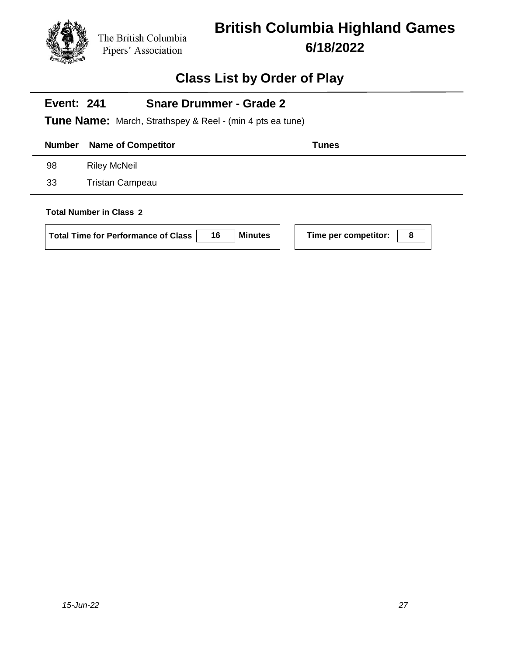

# **British Columbia Highland Games 6/18/2022**

| <b>Snare Drummer - Grade 2</b><br><b>Event: 241</b><br><b>Tune Name:</b> March, Strathspey & Reel - (min 4 pts ea tune)           |                           |       |  |  |
|-----------------------------------------------------------------------------------------------------------------------------------|---------------------------|-------|--|--|
| <b>Number</b>                                                                                                                     | <b>Name of Competitor</b> | Tunes |  |  |
| 98                                                                                                                                | <b>Riley McNeil</b>       |       |  |  |
| 33                                                                                                                                | <b>Tristan Campeau</b>    |       |  |  |
| <b>Total Number in Class 2</b><br>Time per competitor:<br>16<br><b>Minutes</b><br>8<br><b>Total Time for Performance of Class</b> |                           |       |  |  |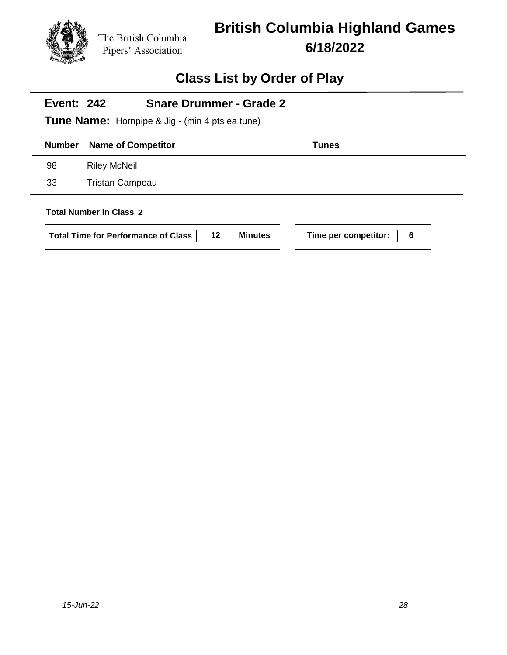

# **British Columbia Highland Games 6/18/2022**

| <b>Event: 242</b><br><b>Snare Drummer - Grade 2</b><br><b>Tune Name:</b> Hornpipe & Jig - (min 4 pts ea tune) |                                                                                    |                |                      |   |
|---------------------------------------------------------------------------------------------------------------|------------------------------------------------------------------------------------|----------------|----------------------|---|
| <b>Number</b>                                                                                                 | <b>Name of Competitor</b>                                                          |                | <b>Tunes</b>         |   |
| 98                                                                                                            | <b>Riley McNeil</b>                                                                |                |                      |   |
| 33                                                                                                            | <b>Tristan Campeau</b>                                                             |                |                      |   |
|                                                                                                               | <b>Total Number in Class 2</b><br>12<br><b>Total Time for Performance of Class</b> | <b>Minutes</b> | Time per competitor: | 6 |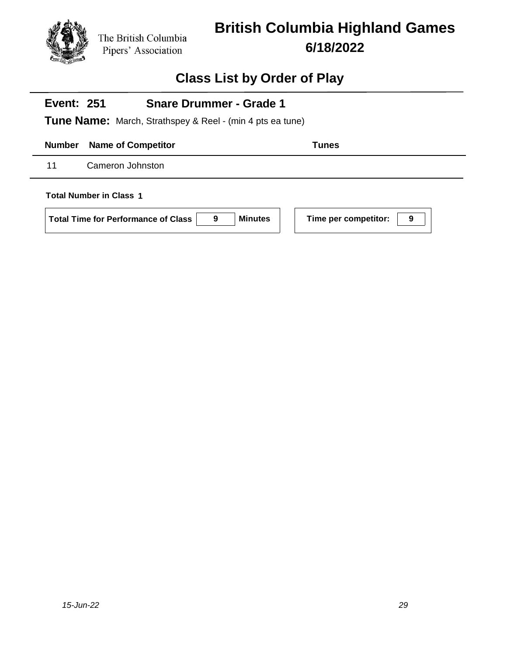

# **British Columbia Highland Games 6/18/2022**

### **Class List by Order of Play**

#### **Event: 251 Snare Drummer - Grade 1**

**Tune Name:** March, Strathspey & Reel - (min 4 pts ea tune)

**Number Name of Competitor Tunes** 

11 Cameron Johnston

**Total Number in Class 1**

**Total Time for Performance of Class 9 Minutes Time per competitor: 9**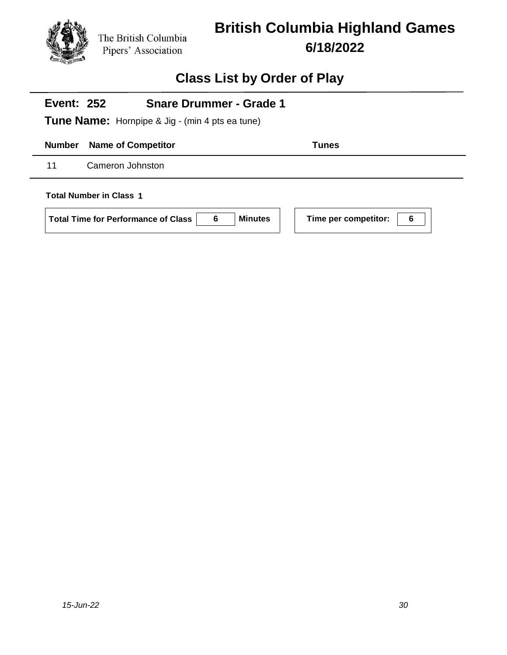

# **British Columbia Highland Games 6/18/2022**

### **Class List by Order of Play**

# **Number Name of Competitor Tunes Event: 252 Tune Name:** Hornpipe & Jig - (min 4 pts ea tune) **Snare Drummer - Grade 1** 11 Cameron Johnston **Total Number in Class 1**

**Total Time for Performance of Class 6 Minutes Time per competitor: 6**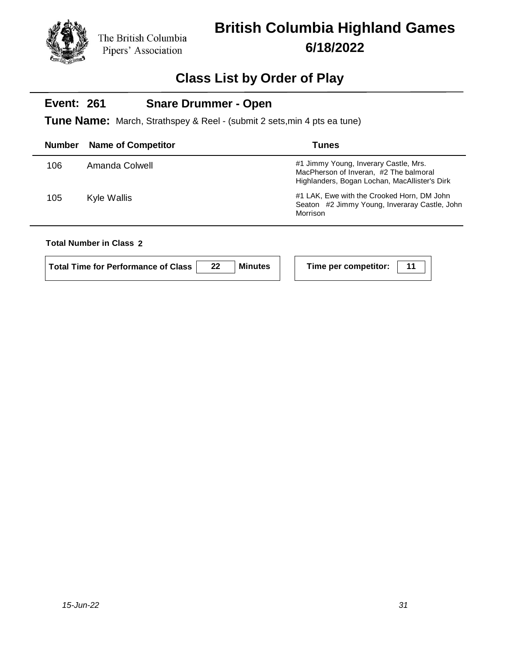# **British Columbia Highland Games 6/18/2022**

### **Class List by Order of Play**

#### **Event: 261 Snare Drummer - Open**

**Tune Name:** March, Strathspey & Reel - (submit 2 sets,min 4 pts ea tune)

| Number | <b>Name of Competitor</b> | Tunes                                                                                                                            |
|--------|---------------------------|----------------------------------------------------------------------------------------------------------------------------------|
| 106    | Amanda Colwell            | #1 Jimmy Young, Inverary Castle, Mrs.<br>MacPherson of Inveran, #2 The balmoral<br>Highlanders, Bogan Lochan, MacAllister's Dirk |
| 105    | Kyle Wallis               | #1 LAK, Ewe with the Crooked Horn, DM John<br>Seaton #2 Jimmy Young, Inveraray Castle, John<br>Morrison                          |
|        |                           |                                                                                                                                  |

### **Total Number in Class 2**

| Total Time for Performance of Class | 22 | Minutes |
|-------------------------------------|----|---------|
|-------------------------------------|----|---------|

**Time per competitor:** 11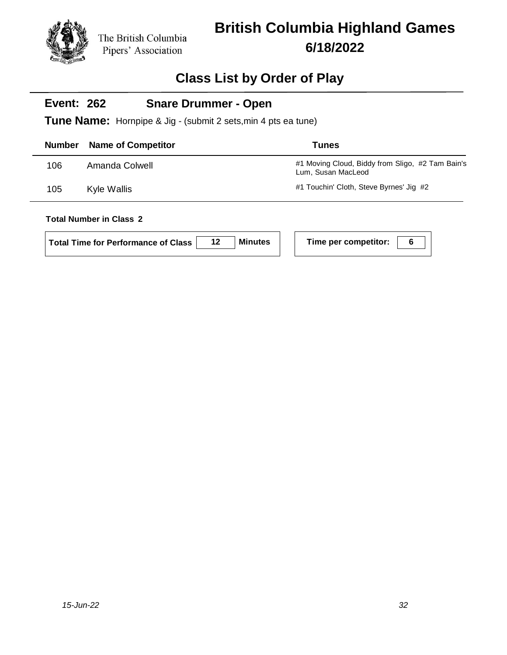# **British Columbia Highland Games 6/18/2022**

### **Class List by Order of Play**

#### **Event: 262 Snare Drummer - Open**

**Tune Name:** Hornpipe & Jig - (submit 2 sets,min 4 pts ea tune)

| <b>Number</b> | <b>Name of Competitor</b> | <b>Tunes</b>                                                           |
|---------------|---------------------------|------------------------------------------------------------------------|
| 106           | Amanda Colwell            | #1 Moving Cloud, Biddy from Sligo, #2 Tam Bain's<br>Lum, Susan MacLeod |
| 105           | Kyle Wallis               | #1 Touchin' Cloth, Steve Byrnes' Jig #2                                |

| Total Time for Performance of Class |  | <b>Minutes</b> |  | Time per competitor: |  |
|-------------------------------------|--|----------------|--|----------------------|--|
|-------------------------------------|--|----------------|--|----------------------|--|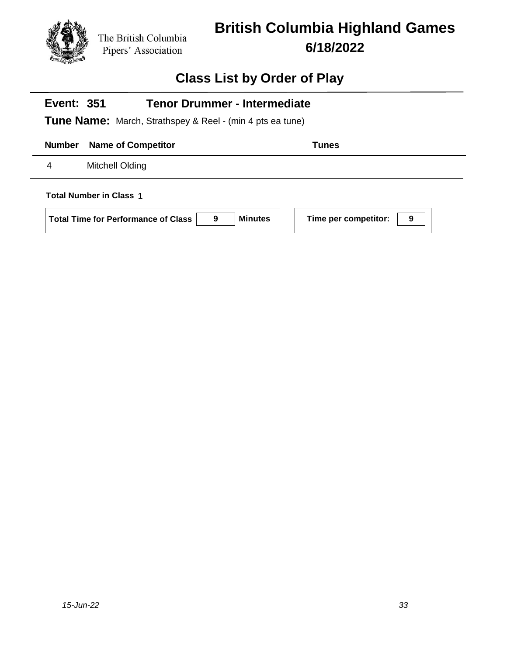

# **British Columbia Highland Games 6/18/2022**

| <b>Tenor Drummer - Intermediate</b><br><b>Event: 351</b>                                                                         |  |  |  |  |
|----------------------------------------------------------------------------------------------------------------------------------|--|--|--|--|
| <b>Tune Name:</b> March, Strathspey & Reel - (min 4 pts ea tune)                                                                 |  |  |  |  |
| <b>Number</b><br><b>Name of Competitor</b><br>Tunes                                                                              |  |  |  |  |
| Mitchell Olding<br>4                                                                                                             |  |  |  |  |
| <b>Total Number in Class 1</b><br><b>Minutes</b><br>Time per competitor:<br><b>Total Time for Performance of Class</b><br>9<br>9 |  |  |  |  |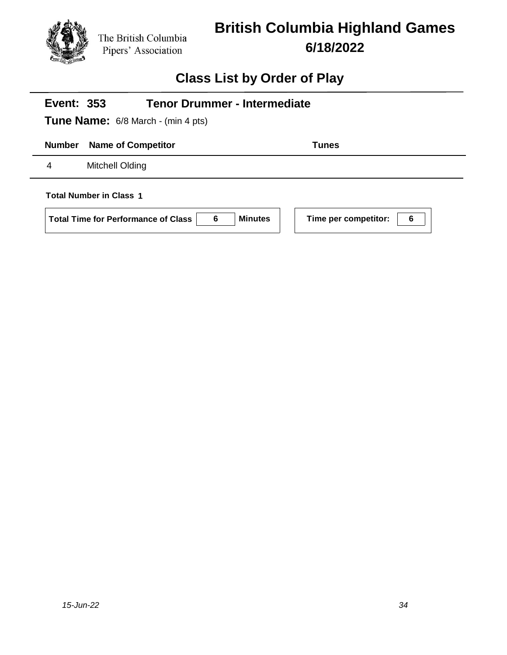

# **British Columbia Highland Games 6/18/2022**

| <b>Tenor Drummer - Intermediate</b><br><b>Event: 353</b>                                                                         |              |  |  |  |
|----------------------------------------------------------------------------------------------------------------------------------|--------------|--|--|--|
| <b>Tune Name:</b> 6/8 March - (min 4 pts)                                                                                        |              |  |  |  |
| <b>Number</b><br><b>Name of Competitor</b>                                                                                       | <b>Tunes</b> |  |  |  |
| Mitchell Olding<br>4                                                                                                             |              |  |  |  |
| <b>Total Number in Class 1</b><br><b>Minutes</b><br>Time per competitor:<br>6<br>6<br><b>Total Time for Performance of Class</b> |              |  |  |  |
|                                                                                                                                  |              |  |  |  |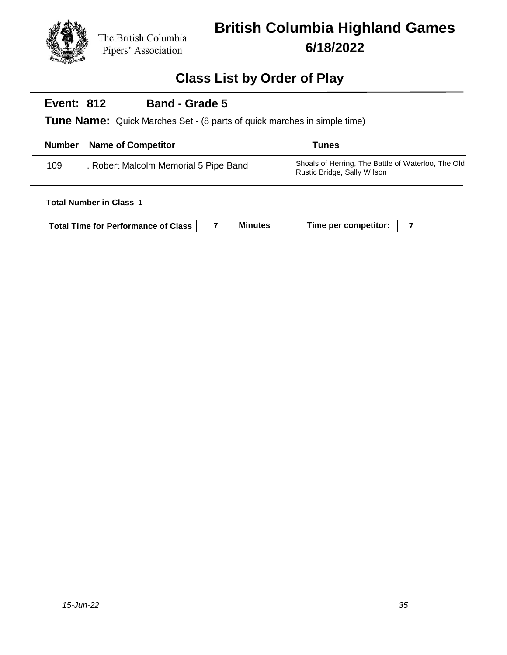

## **Class List by Order of Play**

#### **Event: 812 Band - Grade 5**

**Tune Name:** Quick Marches Set - (8 parts of quick marches in simple time)

| <b>Number</b> | <b>Name of Competitor</b>             | Tunes                                                                             |
|---------------|---------------------------------------|-----------------------------------------------------------------------------------|
| 109           | . Robert Malcolm Memorial 5 Pipe Band | Shoals of Herring, The Battle of Waterloo, The Old<br>Rustic Bridge, Sally Wilson |

#### **Total Number in Class 1**

**Total Time for Performance of Class 7 Minutes Time per competitor: 7**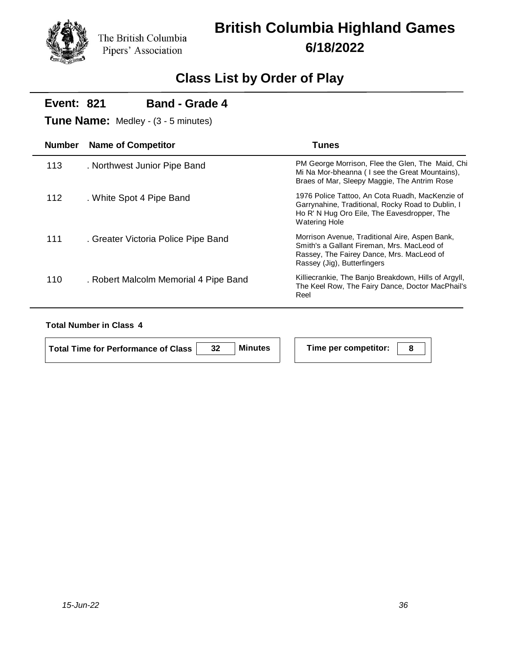# **British Columbia Highland Games 6/18/2022**

## **Class List by Order of Play**

| <b>Event: 821</b> | <b>Band - Grade 4</b><br><b>Tune Name:</b> Medley - (3 - 5 minutes) |                                                                                                                                                                             |
|-------------------|---------------------------------------------------------------------|-----------------------------------------------------------------------------------------------------------------------------------------------------------------------------|
| <b>Number</b>     | <b>Name of Competitor</b>                                           | Tunes                                                                                                                                                                       |
| 113               | . Northwest Junior Pipe Band                                        | PM George Morrison, Flee the Glen, The Maid, Chi<br>Mi Na Mor-bheanna (I see the Great Mountains),<br>Braes of Mar, Sleepy Maggie, The Antrim Rose                          |
| 112               | . White Spot 4 Pipe Band                                            | 1976 Police Tattoo, An Cota Ruadh, MacKenzie of<br>Garrynahine, Traditional, Rocky Road to Dublin, I<br>Ho R' N Hug Oro Eile, The Eavesdropper, The<br><b>Watering Hole</b> |
| 111               | . Greater Victoria Police Pipe Band                                 | Morrison Avenue, Traditional Aire, Aspen Bank,<br>Smith's a Gallant Fireman, Mrs. MacLeod of<br>Rassey, The Fairey Dance, Mrs. MacLeod of<br>Rassey (Jig), Butterfingers    |
| 110               | . Robert Malcolm Memorial 4 Pipe Band                               | Killiecrankie, The Banjo Breakdown, Hills of Argyll,<br>The Keel Row, The Fairy Dance, Doctor MacPhail's<br>Reel                                                            |

#### **Total Number in Class 4**

| Total Time for Performance of Class | 32 | Minutes |
|-------------------------------------|----|---------|
|                                     |    |         |

**Time per competitor: 8**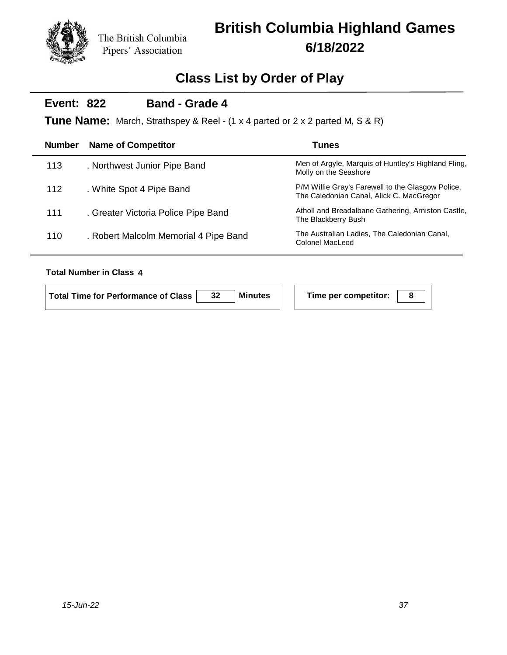# **British Columbia Highland Games 6/18/2022**

## **Class List by Order of Play**

#### **Event: 822 Band - Grade 4**

**Tune Name:** March, Strathspey & Reel - (1 x 4 parted or 2 x 2 parted M, S & R)

| <b>Number</b> | <b>Name of Competitor</b>             | <b>Tunes</b>                                                                                  |
|---------------|---------------------------------------|-----------------------------------------------------------------------------------------------|
| 113           | . Northwest Junior Pipe Band          | Men of Argyle, Marquis of Huntley's Highland Fling,<br>Molly on the Seashore                  |
| 112           | . White Spot 4 Pipe Band              | P/M Willie Gray's Farewell to the Glasgow Police,<br>The Caledonian Canal, Alick C. MacGregor |
| 111           | . Greater Victoria Police Pipe Band   | Atholl and Breadalbane Gathering, Arniston Castle,<br>The Blackberry Bush                     |
| 110           | . Robert Malcolm Memorial 4 Pipe Band | The Australian Ladies, The Caledonian Canal,<br>Colonel MacLeod                               |
|               |                                       |                                                                                               |

#### **Total Number in Class 4**

**Total Time for Performance of Class 32 Minutes Time per competitor: 8**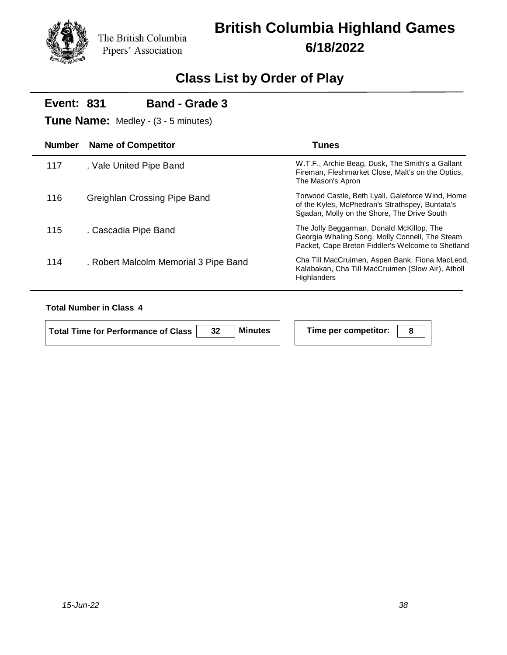# **British Columbia Highland Games 6/18/2022**

## **Class List by Order of Play**

| W.T.F., Archie Beag, Dusk, The Smith's a Gallant<br>Fireman, Fleshmarket Close, Malt's on the Optics,                                              |
|----------------------------------------------------------------------------------------------------------------------------------------------------|
| Torwood Castle, Beth Lyall, Galeforce Wind, Home<br>of the Kyles, McPhedran's Strathspey, Buntata's<br>Sgadan, Molly on the Shore, The Drive South |
| The Jolly Beggarman, Donald McKillop, The<br>Georgia Whaling Song, Molly Connell, The Steam<br>Packet, Cape Breton Fiddler's Welcome to Shetland   |
| Cha Till MacCruimen, Aspen Bank, Fiona MacLeod,<br>Kalabakan, Cha Till MacCruimen (Slow Air), Atholl                                               |
|                                                                                                                                                    |

#### **Total Number in Class 4**

| Total Time for Performance of Class | Minutes |  |
|-------------------------------------|---------|--|
|                                     |         |  |

**Time per competitor:** 8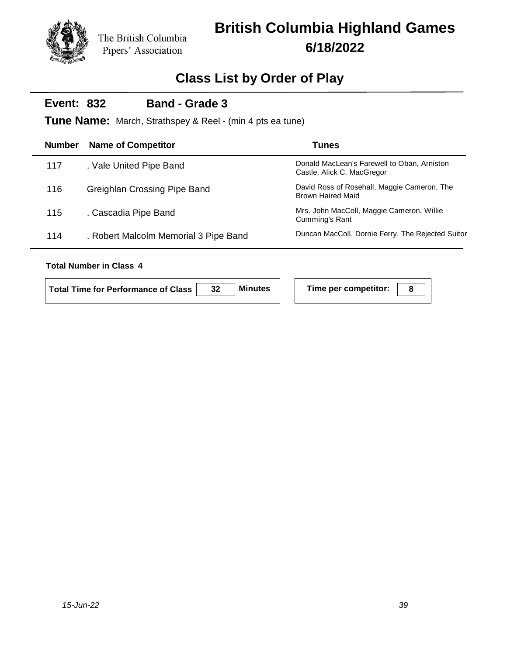## **Class List by Order of Play**

#### **Event: 832 Band - Grade 3**

**Tune Name:** March, Strathspey & Reel - (min 4 pts ea tune)

| <b>Number</b> | <b>Name of Competitor</b>             | <b>Tunes</b>                                                              |
|---------------|---------------------------------------|---------------------------------------------------------------------------|
| 117           | . Vale United Pipe Band               | Donald MacLean's Farewell to Oban, Arniston<br>Castle, Alick C. MacGregor |
| 116           | Greighlan Crossing Pipe Band          | David Ross of Rosehall, Maggie Cameron, The<br><b>Brown Haired Maid</b>   |
| 115           | . Cascadia Pipe Band                  | Mrs. John MacColl, Maggie Cameron, Willie<br>Cumming's Rant               |
| 114           | . Robert Malcolm Memorial 3 Pipe Band | Duncan MacColl, Dornie Ferry, The Rejected Suitor                         |
|               |                                       |                                                                           |

| Total Time for Performance of Class | 32 | <b>Minutes</b> | Time per competitor: |  |
|-------------------------------------|----|----------------|----------------------|--|
|                                     |    |                |                      |  |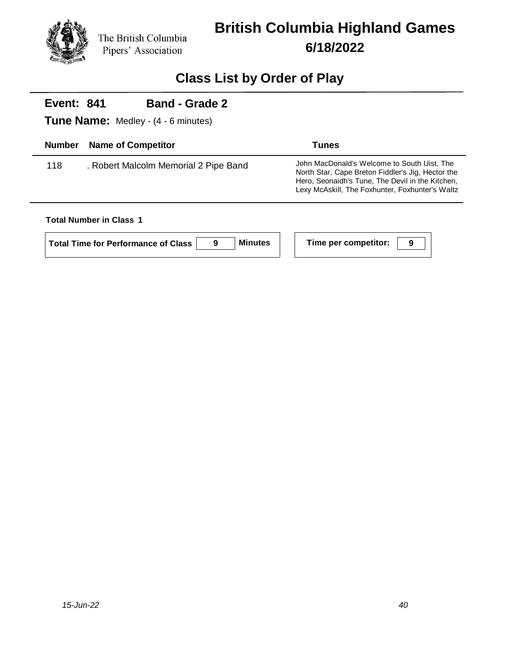

## **Class List by Order of Play**

#### **Event: 841 Band - Grade 2**

**Tune Name:** Medley - (4 - 6 minutes)

| <b>Number</b> | <b>Name of Competitor</b>             | Tunes                                                                                                                                                                                                   |
|---------------|---------------------------------------|---------------------------------------------------------------------------------------------------------------------------------------------------------------------------------------------------------|
| 118           | . Robert Malcolm Memorial 2 Pipe Band | John MacDonald's Welcome to South Uist, The<br>North Star, Cape Breton Fiddler's Jig, Hector the<br>Hero, Seonaidh's Tune, The Devil in the Kitchen,<br>Lexy McAskill, The Foxhunter, Foxhunter's Waltz |

#### **Total Number in Class 1**

| <b>Total Time for Performance of Class</b> | Mir |
|--------------------------------------------|-----|
|                                            |     |

 $\blacksquare$  **Time per competitor:**  $\blacksquare$  9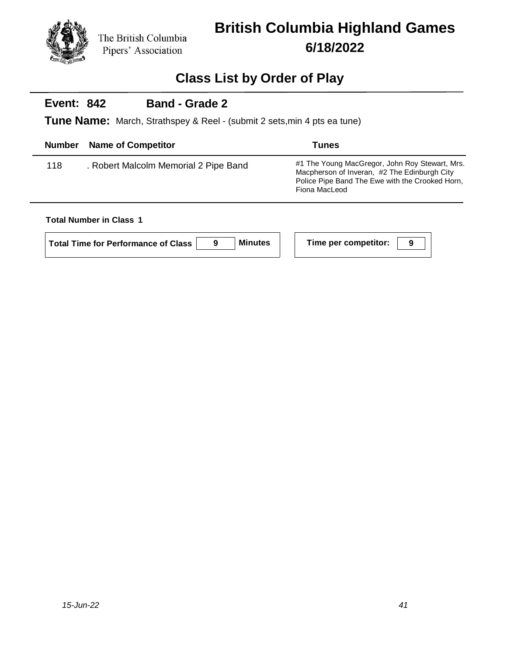

## **Class List by Order of Play**

#### **Event: 842 Band - Grade 2**

**Tune Name:** March, Strathspey & Reel - (submit 2 sets,min 4 pts ea tune)

| <b>Number</b> | <b>Name of Competitor</b>             | <b>Tunes</b>                                                                                                                                                       |
|---------------|---------------------------------------|--------------------------------------------------------------------------------------------------------------------------------------------------------------------|
| 118           | . Robert Malcolm Memorial 2 Pipe Band | #1 The Young MacGregor, John Roy Stewart, Mrs.<br>Macpherson of Inveran, #2 The Edinburgh City<br>Police Pipe Band The Ewe with the Crooked Horn,<br>Fiona MacLeod |

#### **Total Number in Class 1**

| Mi<br>Total Time for Performance of Class |
|-------------------------------------------|
|-------------------------------------------|

 $\blacksquare$  **Time per competitor:**  $\begin{array}{|c|c|c|c|}\hline \rule{0pt}{12pt} \textbf{9} & \textbf{1} \end{array}$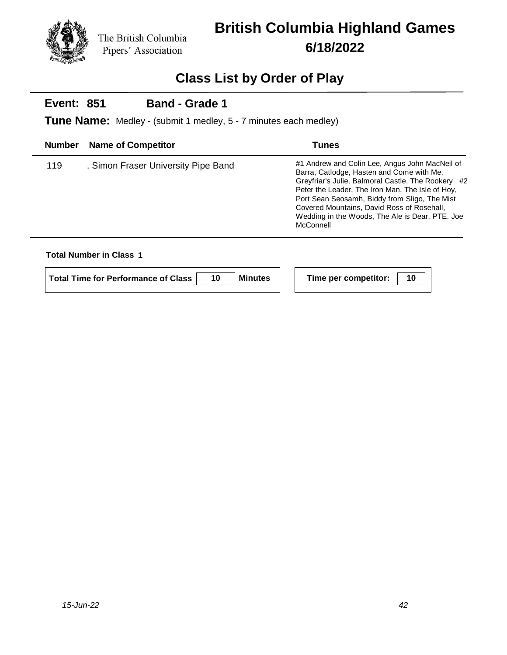

# **British Columbia Highland Games 6/18/2022**

## **Class List by Order of Play**

#### **Event: 851 Band - Grade 1**

**Tune Name:** Medley - (submit 1 medley, 5 - 7 minutes each medley)

| <b>Number</b> | <b>Name of Competitor</b>           | Tunes                                                                                                                                                                                                                                                                                                                                                                |
|---------------|-------------------------------------|----------------------------------------------------------------------------------------------------------------------------------------------------------------------------------------------------------------------------------------------------------------------------------------------------------------------------------------------------------------------|
| 119           | . Simon Fraser University Pipe Band | #1 Andrew and Colin Lee, Angus John MacNeil of<br>Barra, Catlodge, Hasten and Come with Me,<br>Greyfriar's Julie, Balmoral Castle, The Rookery #2<br>Peter the Leader, The Iron Man, The Isle of Hoy,<br>Port Sean Seosamh, Biddy from Sligo, The Mist<br>Covered Mountains, David Ross of Rosehall.<br>Wedding in the Woods, The Ale is Dear, PTE. Joe<br>McConnell |

| <b>Total Time for Performance of Class</b> | <b>Minutes</b> | Time per competitor: |  |
|--------------------------------------------|----------------|----------------------|--|
|                                            |                |                      |  |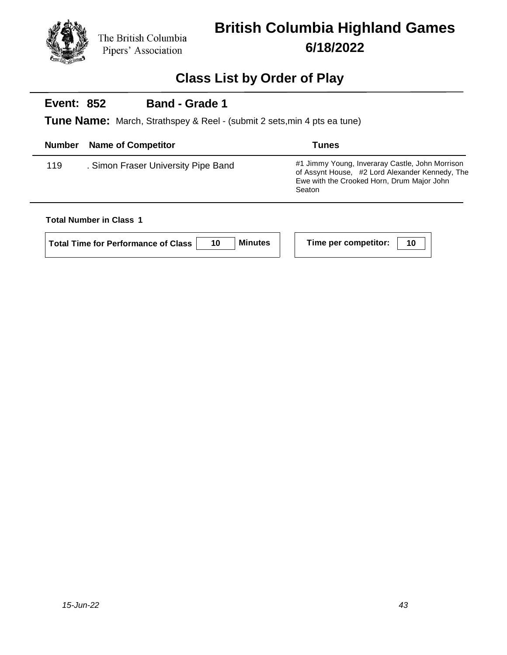

## **Class List by Order of Play**

#### **Event: 852 Band - Grade 1**

**Tune Name:** March, Strathspey & Reel - (submit 2 sets,min 4 pts ea tune)

| <b>Number</b> | <b>Name of Competitor</b>           | Tunes                                                                                                                                                      |
|---------------|-------------------------------------|------------------------------------------------------------------------------------------------------------------------------------------------------------|
| 119           | . Simon Fraser University Pipe Band | #1 Jimmy Young, Inveraray Castle, John Morrison<br>of Assynt House, #2 Lord Alexander Kennedy, The<br>Ewe with the Crooked Horn, Drum Major John<br>Seaton |

| Total Time for Performance of Class |  | <b>Minutes</b> |  | Time per competitor: | -10 |
|-------------------------------------|--|----------------|--|----------------------|-----|
|-------------------------------------|--|----------------|--|----------------------|-----|

|  | Time per competitor:   10 |  |
|--|---------------------------|--|
|--|---------------------------|--|